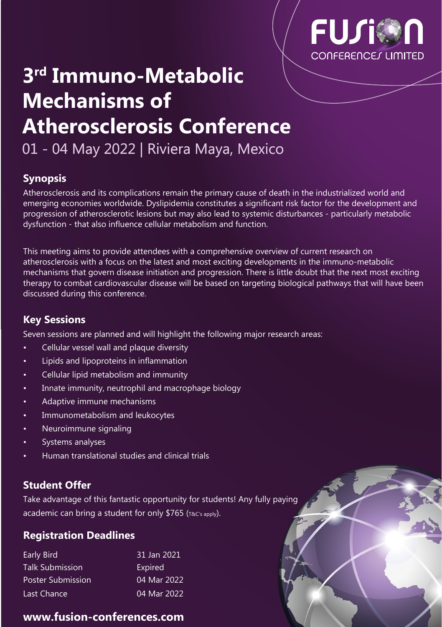

# **3rd Immuno-Metabolic Mechanisms of [Atherosclerosis Conference](https://www.fusion-conferences.com/conference/131?utm_source=fusion&utm_medium=flyer&utm_id=IMMA22)**

01 - 04 May 2022 | Riviera Maya, Mexico

## **Synopsis**

Atherosclerosis and its complications remain the primary cause of death in the industrialized world and emerging economies worldwide. Dyslipidemia constitutes a significant risk factor for the development and progression of atherosclerotic lesions but may also lead to systemic disturbances - particularly metabolic dysfunction - that also influence cellular metabolism and function.

This meeting aims to provide attendees with a comprehensive overview of current research on atherosclerosis with a focus on the latest and most exciting developments in the immuno-metabolic mechanisms that govern disease initiation and progression. There is little doubt that the next most exciting therapy to combat cardiovascular disease will be based on targeting biological pathways that will have been discussed during this conference.

### **Key Sessions**

Seven sessions are planned and will highlight the following major research areas:

- Cellular vessel wall and plaque diversity
- Lipids and lipoproteins in inflammation
- Cellular lipid metabolism and immunity
- Innate immunity, neutrophil and macrophage biology
- Adaptive immune mechanisms
- Immunometabolism and leukocytes
- Neuroimmune signaling
- Systems analyses
- Human translational studies and clinical trials

#### **Student Offer**

Take advantage of this fantastic opportunity for students! Any fully paying academic can bring a student for only \$765 (T&C's apply).

#### **Registration Deadlines**

| Early Bird               | 31 Jan 2021 |
|--------------------------|-------------|
| <b>Talk Submission</b>   | Expired     |
| <b>Poster Submission</b> | 04 Mar 2022 |
| Last Chance              | 04 Mar 2022 |

## **[www.fusion-conferences.com](https://www.fusion-conferences.com/conference/131?utm_source=fusion&utm_medium=flyer&utm_id=IMMA22)**